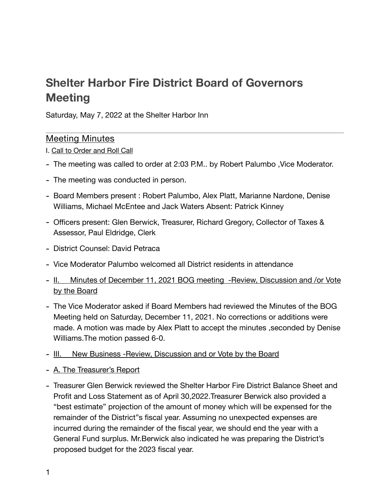# **Shelter Harbor Fire District Board of Governors Meeting**

Saturday, May 7, 2022 at the Shelter Harbor Inn

#### Meeting Minutes

I. Call to Order and Roll Call

- The meeting was called to order at 2:03 P.M.. by Robert Palumbo ,Vice Moderator.
- The meeting was conducted in person.
- Board Members present : Robert Palumbo, Alex Platt, Marianne Nardone, Denise Williams, Michael McEntee and Jack Waters Absent: Patrick Kinney
- Officers present: Glen Berwick, Treasurer, Richard Gregory, Collector of Taxes & Assessor, Paul Eldridge, Clerk
- District Counsel: David Petraca
- Vice Moderator Palumbo welcomed all District residents in attendance
- II. Minutes of December 11, 2021 BOG meeting -Review, Discussion and /or Vote by the Board
- The Vice Moderator asked if Board Members had reviewed the Minutes of the BOG Meeting held on Saturday, December 11, 2021. No corrections or additions were made. A motion was made by Alex Platt to accept the minutes ,seconded by Denise Williams.The motion passed 6-0.
- III. New Business -Review, Discussion and or Vote by the Board
- A. The Treasurer's Report
- Treasurer Glen Berwick reviewed the Shelter Harbor Fire District Balance Sheet and Profit and Loss Statement as of April 30,2022.Treasurer Berwick also provided a "best estimate" projection of the amount of money which will be expensed for the remainder of the District"s fiscal year. Assuming no unexpected expenses are incurred during the remainder of the fiscal year, we should end the year with a General Fund surplus. Mr.Berwick also indicated he was preparing the District's proposed budget for the 2023 fiscal year.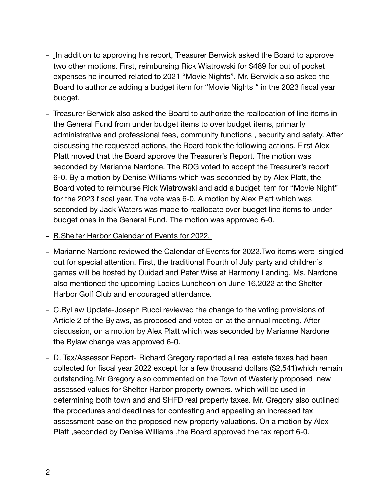- In addition to approving his report, Treasurer Berwick asked the Board to approve two other motions. First, reimbursing Rick Wiatrowski for \$489 for out of pocket expenses he incurred related to 2021 "Movie Nights". Mr. Berwick also asked the Board to authorize adding a budget item for "Movie Nights " in the 2023 fiscal year budget.
- Treasurer Berwick also asked the Board to authorize the reallocation of line items in the General Fund from under budget items to over budget items, primarily administrative and professional fees, community functions , security and safety. After discussing the requested actions, the Board took the following actions. First Alex Platt moved that the Board approve the Treasurer's Report. The motion was seconded by Marianne Nardone. The BOG voted to accept the Treasurer's report 6-0. By a motion by Denise Williams which was seconded by by Alex Platt, the Board voted to reimburse Rick Wiatrowski and add a budget item for "Movie Night" for the 2023 fiscal year. The vote was 6-0. A motion by Alex Platt which was seconded by Jack Waters was made to reallocate over budget line items to under budget ones in the General Fund. The motion was approved 6-0.
- B.Shelter Harbor Calendar of Events for 2022.
- Marianne Nardone reviewed the Calendar of Events for 2022.Two items were singled out for special attention. First, the traditional Fourth of July party and children's games will be hosted by Ouidad and Peter Wise at Harmony Landing. Ms. Nardone also mentioned the upcoming Ladies Luncheon on June 16,2022 at the Shelter Harbor Golf Club and encouraged attendance.
- C.ByLaw Update-Joseph Rucci reviewed the change to the voting provisions of Article 2 of the Bylaws, as proposed and voted on at the annual meeting. After discussion, on a motion by Alex Platt which was seconded by Marianne Nardone the Bylaw change was approved 6-0.
- D. Tax/Assessor Report- Richard Gregory reported all real estate taxes had been collected for fiscal year 2022 except for a few thousand dollars (\$2,541)which remain outstanding.Mr Gregory also commented on the Town of Westerly proposed new assessed values for Shelter Harbor property owners. which will be used in determining both town and and SHFD real property taxes. Mr. Gregory also outlined the procedures and deadlines for contesting and appealing an increased tax assessment base on the proposed new property valuations. On a motion by Alex Platt ,seconded by Denise Williams ,the Board approved the tax report 6-0.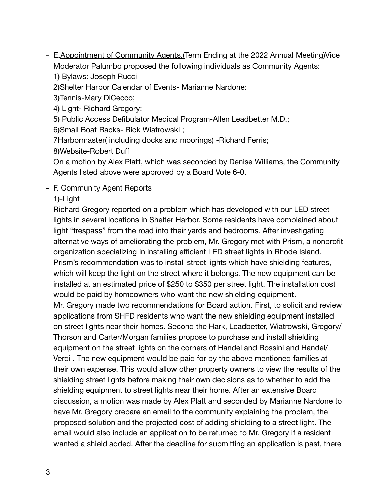- E.Appointment of Community Agents.(Term Ending at the 2022 Annual Meeting)Vice Moderator Palumbo proposed the following individuals as Community Agents:

1) Bylaws: Joseph Rucci

2)Shelter Harbor Calendar of Events- Marianne Nardone:

3)Tennis-Mary DiCecco;

4) Light- Richard Gregory;

5) Public Access Defibulator Medical Program-Allen Leadbetter M.D.;

6)Small Boat Racks- Rick Wiatrowski ;

7Harbormaster( including docks and moorings) -Richard Ferris;

8)Website-Robert Duff

On a motion by Alex Platt, which was seconded by Denise Williams, the Community Agents listed above were approved by a Board Vote 6-0.

#### - F. Community Agent Reports

### 1)-Light

Richard Gregory reported on a problem which has developed with our LED street lights in several locations in Shelter Harbor. Some residents have complained about light "trespass" from the road into their yards and bedrooms. After investigating alternative ways of ameliorating the problem, Mr. Gregory met with Prism, a nonprofit organization specializing in installing efficient LED street lights in Rhode Island. Prism's recommendation was to install street lights which have shielding features, which will keep the light on the street where it belongs. The new equipment can be installed at an estimated price of \$250 to \$350 per street light. The installation cost would be paid by homeowners who want the new shielding equipment. Mr. Gregory made two recommendations for Board action. First, to solicit and review

applications from SHFD residents who want the new shielding equipment installed on street lights near their homes. Second the Hark, Leadbetter, Wiatrowski, Gregory/ Thorson and Carter/Morgan families propose to purchase and install shielding equipment on the street lights on the corners of Handel and Rossini and Handel/ Verdi . The new equipment would be paid for by the above mentioned families at their own expense. This would allow other property owners to view the results of the shielding street lights before making their own decisions as to whether to add the shielding equipment to street lights near their home. After an extensive Board discussion, a motion was made by Alex Platt and seconded by Marianne Nardone to have Mr. Gregory prepare an email to the community explaining the problem, the proposed solution and the projected cost of adding shielding to a street light. The email would also include an application to be returned to Mr. Gregory if a resident wanted a shield added. After the deadline for submitting an application is past, there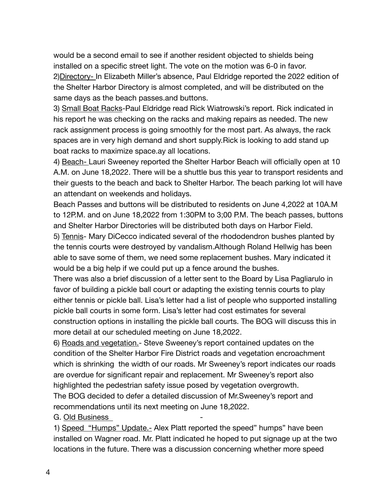would be a second email to see if another resident objected to shields being installed on a specific street light. The vote on the motion was 6-0 in favor. 2)Directory- In Elizabeth Miller's absence, Paul Eldridge reported the 2022 edition of the Shelter Harbor Directory is almost completed, and will be distributed on the same days as the beach passes.and buttons.

3) Small Boat Racks-Paul Eldridge read Rick Wiatrowski's report. Rick indicated in his report he was checking on the racks and making repairs as needed. The new rack assignment process is going smoothly for the most part. As always, the rack spaces are in very high demand and short supply.Rick is looking to add stand up boat racks to maximize space.ay all locations.

4) Beach- Lauri Sweeney reported the Shelter Harbor Beach will officially open at 10 A.M. on June 18,2022. There will be a shuttle bus this year to transport residents and their guests to the beach and back to Shelter Harbor. The beach parking lot will have an attendant on weekends and holidays.

Beach Passes and buttons will be distributed to residents on June 4,2022 at 10A.M to 12P.M. and on June 18,2022 from 1:30PM to 3;00 P.M. The beach passes, buttons and Shelter Harbor Directories will be distributed both days on Harbor Field.

5) Tennis- Mary DiCecco indicated several of the rhododendron bushes planted by the tennis courts were destroyed by vandalism.Although Roland Hellwig has been able to save some of them, we need some replacement bushes. Mary indicated it would be a big help if we could put up a fence around the bushes.

There was also a brief discussion of a letter sent to the Board by Lisa Pagliarulo in favor of building a pickle ball court or adapting the existing tennis courts to play either tennis or pickle ball. Lisa's letter had a list of people who supported installing pickle ball courts in some form. Lisa's letter had cost estimates for several construction options in installing the pickle ball courts. The BOG will discuss this in more detail at our scheduled meeting on June 18,2022.

6) Roads and vegetation.- Steve Sweeney's report contained updates on the condition of the Shelter Harbor Fire District roads and vegetation encroachment which is shrinking the width of our roads. Mr Sweeney's report indicates our roads are overdue for significant repair and replacement. Mr Sweeney's report also highlighted the pedestrian safety issue posed by vegetation overgrowth. The BOG decided to defer a detailed discussion of Mr.Sweeney's report and

recommendations until its next meeting on June 18,2022.

G. Old Business

1) Speed "Humps" Update.- Alex Platt reported the speed" humps" have been installed on Wagner road. Mr. Platt indicated he hoped to put signage up at the two locations in the future. There was a discussion concerning whether more speed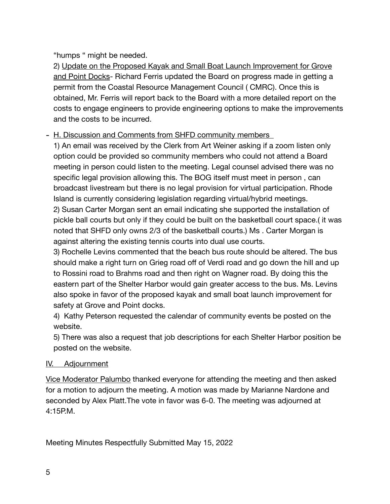## "humps " might be needed.

2) Update on the Proposed Kayak and Small Boat Launch Improvement for Grove and Point Docks- Richard Ferris updated the Board on progress made in getting a permit from the Coastal Resource Management Council ( CMRC). Once this is obtained, Mr. Ferris will report back to the Board with a more detailed report on the costs to engage engineers to provide engineering options to make the improvements and the costs to be incurred.

### - H. Discussion and Comments from SHFD community members

1) An email was received by the Clerk from Art Weiner asking if a zoom listen only option could be provided so community members who could not attend a Board meeting in person could listen to the meeting. Legal counsel advised there was no specific legal provision allowing this. The BOG itself must meet in person , can broadcast livestream but there is no legal provision for virtual participation. Rhode Island is currently considering legislation regarding virtual/hybrid meetings. 2) Susan Carter Morgan sent an email indicating she supported the installation of

pickle ball courts but only if they could be built on the basketball court space.( it was noted that SHFD only owns 2/3 of the basketball courts.) Ms . Carter Morgan is against altering the existing tennis courts into dual use courts.

3) Rochelle Levins commented that the beach bus route should be altered. The bus should make a right turn on Grieg road off of Verdi road and go down the hill and up to Rossini road to Brahms road and then right on Wagner road. By doing this the eastern part of the Shelter Harbor would gain greater access to the bus. Ms. Levins also spoke in favor of the proposed kayak and small boat launch improvement for safety at Grove and Point docks.

4) Kathy Peterson requested the calendar of community events be posted on the website.

5) There was also a request that job descriptions for each Shelter Harbor position be posted on the website.

### IV. Adjournment

Vice Moderator Palumbo thanked everyone for attending the meeting and then asked for a motion to adjourn the meeting. A motion was made by Marianne Nardone and seconded by Alex Platt.The vote in favor was 6-0. The meeting was adjourned at 4:15P.M.

Meeting Minutes Respectfully Submitted May 15, 2022